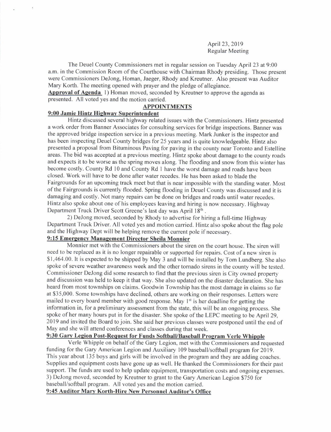April 23,2019 Regular Meeting

The Deuel County Commissioners met in regular session on Tuesday April 23 at 9:00 a.m. in the Commission Room of the Courthouse with Chairman Rhody presiding. Those present were Commissioners DeJong, Homan, Jaeger, Rhody and Kreutner. Also present was Auditor Mary Korth. The meeting opened with prayer and the pledge of allegiance.

Approval of Agenda 1) Homan moved, seconded by Kreutner to approve the agenda as presented. All voted yes and the motion carried.

### APPOINTMENTS

### 9:00 Jamie Hintz Hishwav Sunerintendent

Hintz discussed several highway related issues with the Commissioners. Hintz presented a work order from Banner Associates for consulting services for bridge inspections. Banner was the approved bridge inspection service in a previous meeting. Mark Junker is the inspector and has been inspecting Deuel County bridges for 25 years and is quite knowledgeable. Hintz also presented a proposal from Bituminous Paving for paving in the county near Toronto and Estelline areas. The bid was accepted at a previous meeting. Hintz spoke about damage to the county roads and expects it to be worse as the spring moves along. The flooding and snow from this winter has become costly. County Rd l0 and County Rd I have the worst damage and roads have been closed. Work will have to be done after water recedes. He has been asked to blade the Fairgrounds for an upcoming track meet but that is near impossible with the standing water. Most ofthe Fairgrounds is currently flooded. Spring flooding in Deuel County was discussed and it is damaging and costly. Not many repairs can be done on bridges and roads until water recedes. Hintz also spoke about one of his employees leaving and hiring is now necessary. Highway Department Truck Driver Scott Greene's last day was April 18th.

2) DeJong moved, seconded by Rhody to advertise for hiring a full-time Highway Department Truck Driver. All voted yes and motion carried. Hintz also spoke about the flag pole and the Highway Dept will be helping remove the current pole if necessary.

# 9:15 Emergency Management Director Sheila Monnier

Monnier met with the Commissioners about the siren on the court house. The siren will need to be replaced as it is no longer repairable or supported for repairs. Cost of a new siren is \$1,464.00. It is expected to be shipped by May 3 and will be installed by Tom Lundberg. She also spoke of severe weather awareness week and the other tornado sirens in the county will be tested. Commissioner DeJong did some research to find that the previous siren is City owned property and discussion was held to keep it that way. She also updated on the disaster declaration. She has heard from most townships on claims. Goodwin Township has the most damage in claims so far at \$35,000. Some townships have declined, others are working on their responses. Letters were mailed to every board member with good response. May  $1<sup>st</sup>$  is her deadline for getting the information in, for a preliminary assessment from the state, this will be an ongoing process. She spoke of her many hours put in for the disaster. She spoke of the LEPC meeting to be April 29, 2019 and invited the Board to join. She said her previous classes were postponed until the end of May and she will attend conferences and classes during that week.

# 9:30 Gary Legion Post-Request for Funds Softball/Baseball Program Verle Whipple

Verle Whipple on behalf of the Gary Legion, met with the Commissioners and requested funding for the Gary American Legion and Auxiliary 109 baseball/softball program for 2019. This year about 135 boys and girls will be involved in the program and they are adding coaches. Supplies and equipment costs have gone up as well. He thanked the Commissioners for their past support. The funds are used to help update equipment, transportation costs and ongoing expenses. 3) DeJong moved, seconded by Kreutner to grant to the Gary American Legion \$750 for baseball/softball program. All voted yes and the motion carried.

9:45 Auditor Marv Korth-Hire New Personnel Auditor's Office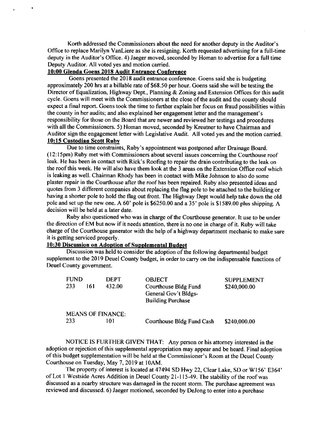Korth addressed the Commissioners about the need for another deputy in the Auditor's Office to replace Marilyn Vanliere as she is resigning. Korth requested advertising for a full-time deputy in the Auditor's Office. 4) Jaeger moved, seconded by Homan to advertise for a full time Deputy Auditor. All voted yes and motion carried.

# 10:00 Glenda Goens 201E Audit Entrance Conference

Goens presented the 2018 audit entrance conference. Goens said she is budgeting approximately 200 hrs at a billable rate of \$68.50 per hour. Goens said she will be testing the Director of Equalization, Highway Dept., Planning & Zoning and Extension Offices for this audit cycle. Goens will meet with the Commissioners at the close of the audit and the county should expect a final report. Goens took the time to further explain her focus on fraud possibilities within the county in her audits; and also explained her engagement letter and the management's responsibility for those on the Board that are newer and reviewed her testings and procedures with all the Commissioners. 5) Homan moved, seconded by Kreutner to have Chairman and Auditor sign the engagement letter with Legislative Audit. All voted yes and the motion carried. 10:15 Custodian Scott Ruby

Due to time constraints, Ruby's appointment was posponed after Drainage Board. (12: l5pm) Ruby met with Commissioners about several issues conceming the Courthouse roof leak. He has been in contact with Rick's Roofing to repair the drain contributing to the leak on the roof this week. He will also have them look at the 3 areas on the Extension Office roof which is leaking as well. Chairman Rhody has been in contact with Mike Johnson to also do some plaster repair in the Courthouse after the roof has been repaired. Ruby also presented ideas and quotes fiom 3 different companies about replacing the flag pole to be aftached to the building or having a shorter pole to hold the flag out front. The Highway Dept would help take down the old pole and set up the new one. A 60' pole is \$6250.00 and a 35' pole is \$1589.00 plus shipping. A decision will be held at a later date.

Ruby also questioned who was in charge ofthe Courthouse generator. It use to be under the direction of EM but now if it needs attention, there is no one in charge of it. Ruby will take charge of the Courthouse generator with the help of a highway department mechanic to make sure it is getting serviced properly.

# 10:30 Discussion on Adoption of Supplemental Budget

Discussion was held to consider the adoption of the following departmental budget supplement to the 2019 Deuel County budget, in order to carry on the indispensable functions of Deuel County govemment.

| <b>FUND</b>              |     | <b>DEPT</b> | <b>OBJECT</b>                                                            | <b>SUPPLEMENT</b> |
|--------------------------|-----|-------------|--------------------------------------------------------------------------|-------------------|
| 233                      | 161 | 432.00      | Courthouse Bldg Fund<br>General Gov't Bldgs-<br><b>Building Purchase</b> | \$240,000.00      |
| <b>MEANS OF FINANCE:</b> |     |             |                                                                          |                   |
| 233                      |     | 101         | Courthouse Bldg Fund Cash                                                | \$240,000.00      |

NOTICE IS FURTHER GIVEN THAT: Any person or his attorney interested in the adoption or rejection of this supplemental appropriation may appear and be heard. Final adoption of this budget supplementation will be held at the Commissioner's Room at the Deuel County Courthouse on Tuesday, May 7,2019 at l0AM.

The property of interest is located at 47494 SD Hwy 22, Clear Lake, SD or W156' E364' of Lot 1 Westside Acres Addition in Deuel County 21-115-49. The stability of the roof was discussed as a nearby structure was damaged in the recent storm. The purchase agreement was reviewed and discussed. 6) Jaeger motioned, seconded by DeJong to enter into a purchase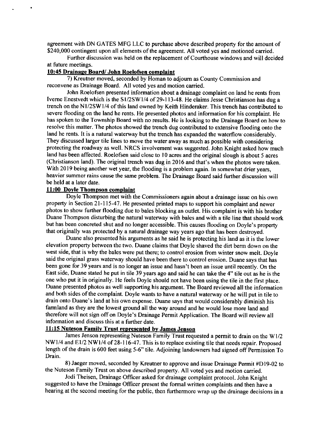agreement with DN GATES MFG LLC to purchase above described property for the amount of \$240,000 contingent upon all elements of the agreement. All voted yes and motioned carried.

Further discussion was held on the replacement of Courthouse windows and will decided at future meetings.

### 10:45 Drainape Board/ John Roelofsen comolaint

7) Kreutner moved, seconded by Homan to adjoum as County Commission and reconvene as Drainage Board. All voted yes and motion carried.

John Roelofsen presented information about a drainage complaint on land he rents from Iverne Enestvedt which is the S1/2SW1/4 of 29-113-48. He claims Jesse Christianson has dug a trench on the Nl/2SWl/4 of this land owned by Keith Hinderaker. This trench has conributed to severe flooding on the land he rents. He presented photos and information for his complaint. He has spoken to the Township Board with no results. He is looking to the Drainage Board on how to resolve this matter. The photos showed the trench dug contributed to extensive flooding onto the land he rents. It is a natural waterway but the trench has expanded the waterflow considerably. They discussed larger tile lines to move the water away as much as possible with considering protecting the roadway as well. NRCS involvement was suggested. John Knight asked how much land has been affected. Roelofsen said close to l0 acres and the original slough is about 5 acres (Christianson land). The original trench was dug in 2016 and that's when the photos were taken. With 2019 being another wet year, the flooding is a problem again. In somewhat drier years, heavier summer rains cause the same problem. The Drainage Board said further discussion will be held at a later date.

### 1l:00 Dovle Thomoson comolaint

Doyle Thompson met with the Commissioners again about a drainage issue on his own property in Section 21-115-47. He presented printed maps to support his complaint and newer photos to show further flooding due to bales blocking an outlet. His complaint is with his brother Duane Thompson disturbing the natural waterway with bales and with a tile line that should work but has been concreted shut and no longer accessible. This causes flooding on Doyle's property that originally was protected by a natural drainage way years ago that has been destroyed.

Duane also presented his arguments as he said he is protecting his land as it is the lower elevation property between the two. Duane claims that Doyle shaved the dirt berm down on the west side, that is why the bales were put there; to control erosion from winter snow melt. Doyle said the original grass waterway should have been there to control erosion. Duane says that has been gone for 39 years and is no longer an issue and hasn't been an issue until recently. On the East side, Duane stated he put in tile 39 years ago and said he can take the 4" tile out as he is the one who put it in originally. He feels Doyle should not have been using the tile in the first place. Duane presented photos as well supporting his argument. The Board reviewed all the information and both sides of the complaint. Doyle wants to have a natural waterway or he will put in tile to drain onto Duane's land at his own expense. Duane says that would considerably diminish his farmland as they are the lowest ground all the way around and he would lose more land and therefore will not sign off on Doyle's Drainage Permit Application. The Board will review all information and discuss this at a further date.

### 11:15 Nuteson Family Trust represented by James Jenson

James Jenson representing Nuteson Family Trust requested a permit to drain on the Wl/2 NW1/4 and E1/2 NW1/4 of 28-116-47. This is to replace existing tile that needs repair. Proposed length of the drain is 600 feet using 5-6" tile. Adjoining landowners had signed off Permission To Drain.

8) Jaeger moved, seconded by Kreutner to approve and issue Drainage Permit #Dl9-02 to the Nuteson Family Trust on above described property. All voted yes and motion carried.

Jodi Theisen, Drainage Officer asked for drainage complaint protocol. John Knight suggested to have the Drainage Officer present the formal written complaints and then have a hearing at the second meeting for the public, then furthermore wrap up the drainage decisions in a